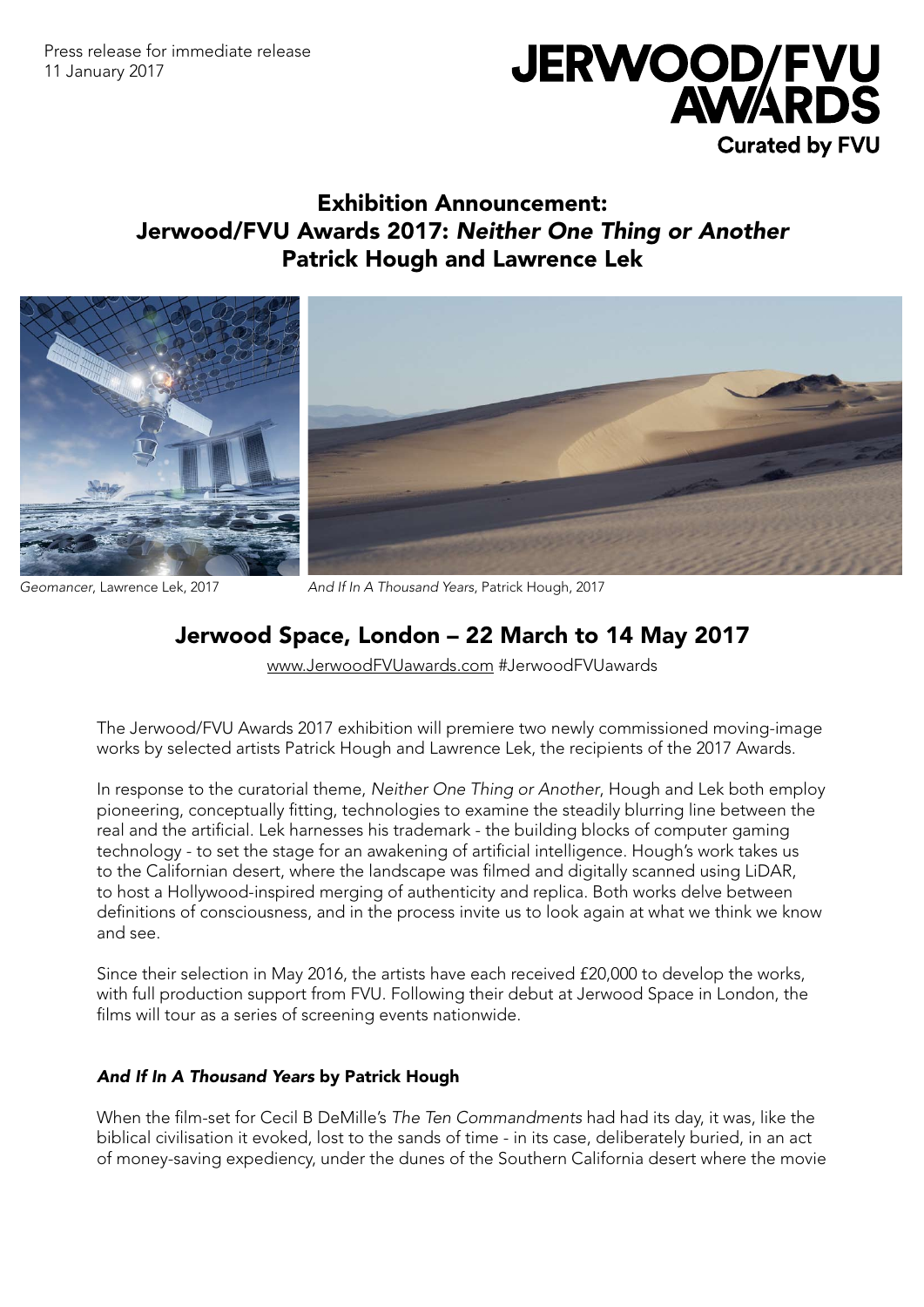Press release for immediate release 11 January 2017



# Exhibition Announcement: Jerwood/FVU Awards 2017: *Neither One Thing or Another* Patrick Hough and Lawrence Lek



*Geomancer*, Lawrence Lek, 2017 *And If In A Thousand Years*, Patrick Hough, 2017

# Jerwood Space, London – 22 March to 14 May 2017

[www.JerwoodFVUawards.com](http://www.JerwoodFVUawards.com) #JerwoodFVUawards

The Jerwood/FVU Awards 2017 exhibition will premiere two newly commissioned moving-image works by selected artists Patrick Hough and Lawrence Lek, the recipients of the 2017 Awards.

In response to the curatorial theme, *Neither One Thing or Another*, Hough and Lek both employ pioneering, conceptually fitting, technologies to examine the steadily blurring line between the real and the artificial. Lek harnesses his trademark - the building blocks of computer gaming technology - to set the stage for an awakening of artificial intelligence. Hough's work takes us to the Californian desert, where the landscape was filmed and digitally scanned using LiDAR, to host a Hollywood-inspired merging of authenticity and replica. Both works delve between definitions of consciousness, and in the process invite us to look again at what we think we know and see.

Since their selection in May 2016, the artists have each received £20,000 to develop the works, with full production support from FVU. Following their debut at Jerwood Space in London, the films will tour as a series of screening events nationwide.

## *And If In A Thousand Years* by Patrick Hough

When the film-set for Cecil B DeMille's *The Ten Commandments* had had its day, it was, like the biblical civilisation it evoked, lost to the sands of time - in its case, deliberately buried, in an act of money-saving expediency, under the dunes of the Southern California desert where the movie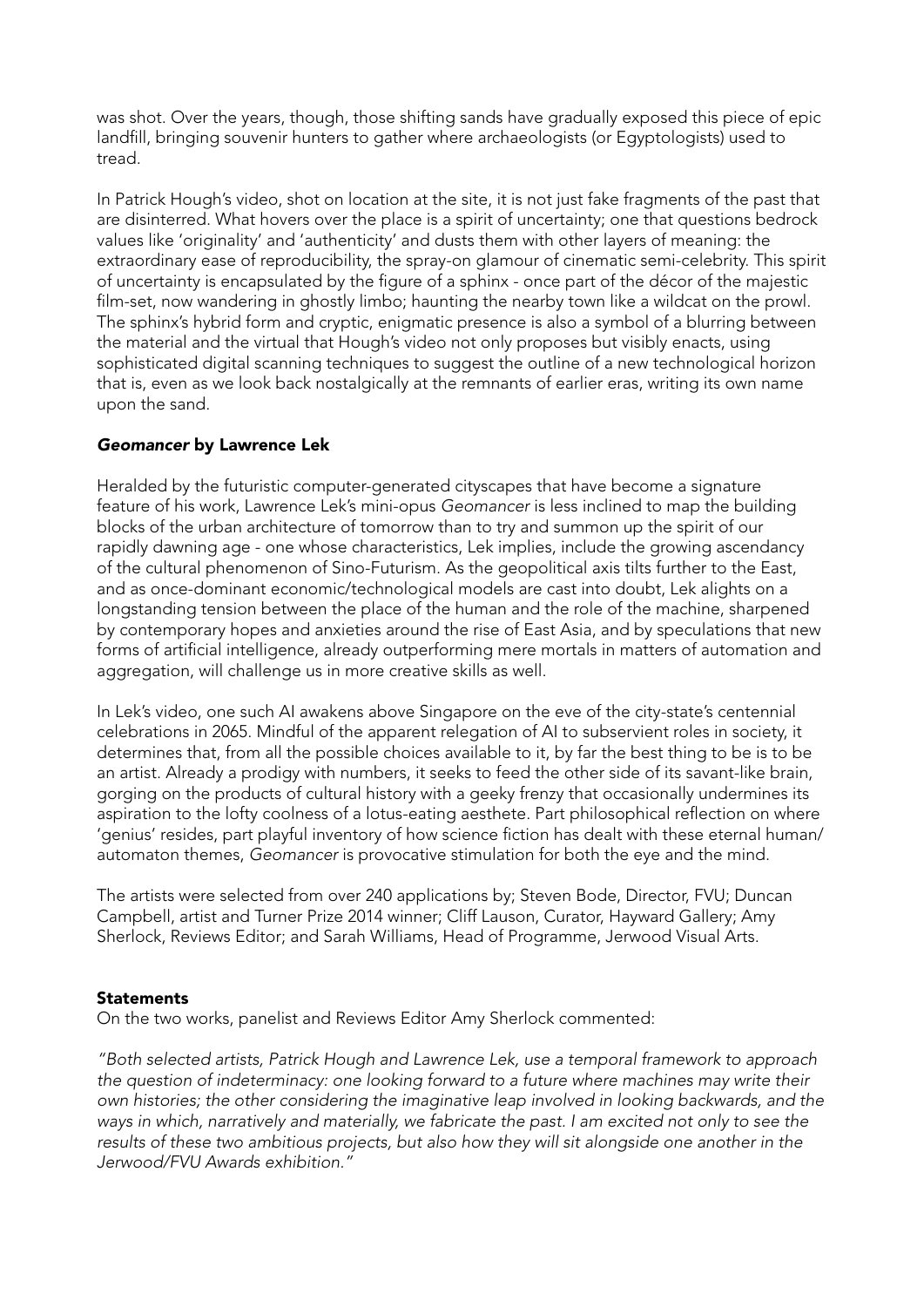was shot. Over the years, though, those shifting sands have gradually exposed this piece of epic landfill, bringing souvenir hunters to gather where archaeologists (or Egyptologists) used to tread.

In Patrick Hough's video, shot on location at the site, it is not just fake fragments of the past that are disinterred. What hovers over the place is a spirit of uncertainty; one that questions bedrock values like 'originality' and 'authenticity' and dusts them with other layers of meaning: the extraordinary ease of reproducibility, the spray-on glamour of cinematic semi-celebrity. This spirit of uncertainty is encapsulated by the figure of a sphinx - once part of the décor of the majestic film-set, now wandering in ghostly limbo; haunting the nearby town like a wildcat on the prowl. The sphinx's hybrid form and cryptic, enigmatic presence is also a symbol of a blurring between the material and the virtual that Hough's video not only proposes but visibly enacts, using sophisticated digital scanning techniques to suggest the outline of a new technological horizon that is, even as we look back nostalgically at the remnants of earlier eras, writing its own name upon the sand.

## *Geomancer* by Lawrence Lek

Heralded by the futuristic computer-generated cityscapes that have become a signature feature of his work, Lawrence Lek's mini-opus *Geomancer* is less inclined to map the building blocks of the urban architecture of tomorrow than to try and summon up the spirit of our rapidly dawning age - one whose characteristics, Lek implies, include the growing ascendancy of the cultural phenomenon of Sino-Futurism. As the geopolitical axis tilts further to the East, and as once-dominant economic/technological models are cast into doubt, Lek alights on a longstanding tension between the place of the human and the role of the machine, sharpened by contemporary hopes and anxieties around the rise of East Asia, and by speculations that new forms of artificial intelligence, already outperforming mere mortals in matters of automation and aggregation, will challenge us in more creative skills as well.

In Lek's video, one such AI awakens above Singapore on the eve of the city-state's centennial celebrations in 2065. Mindful of the apparent relegation of AI to subservient roles in society, it determines that, from all the possible choices available to it, by far the best thing to be is to be an artist. Already a prodigy with numbers, it seeks to feed the other side of its savant-like brain, gorging on the products of cultural history with a geeky frenzy that occasionally undermines its aspiration to the lofty coolness of a lotus-eating aesthete. Part philosophical reflection on where 'genius' resides, part playful inventory of how science fiction has dealt with these eternal human/ automaton themes, *Geomancer* is provocative stimulation for both the eye and the mind.

The artists were selected from over 240 applications by; Steven Bode, Director, FVU; Duncan Campbell, artist and Turner Prize 2014 winner; Cliff Lauson, Curator, Hayward Gallery; Amy Sherlock, Reviews Editor; and Sarah Williams, Head of Programme, Jerwood Visual Arts.

## **Statements**

On the two works, panelist and Reviews Editor Amy Sherlock commented:

*"Both selected artists, Patrick Hough and Lawrence Lek, use a temporal framework to approach the question of indeterminacy: one looking forward to a future where machines may write their own histories; the other considering the imaginative leap involved in looking backwards, and the ways in which, narratively and materially, we fabricate the past. I am excited not only to see the results of these two ambitious projects, but also how they will sit alongside one another in the Jerwood/FVU Awards exhibition."*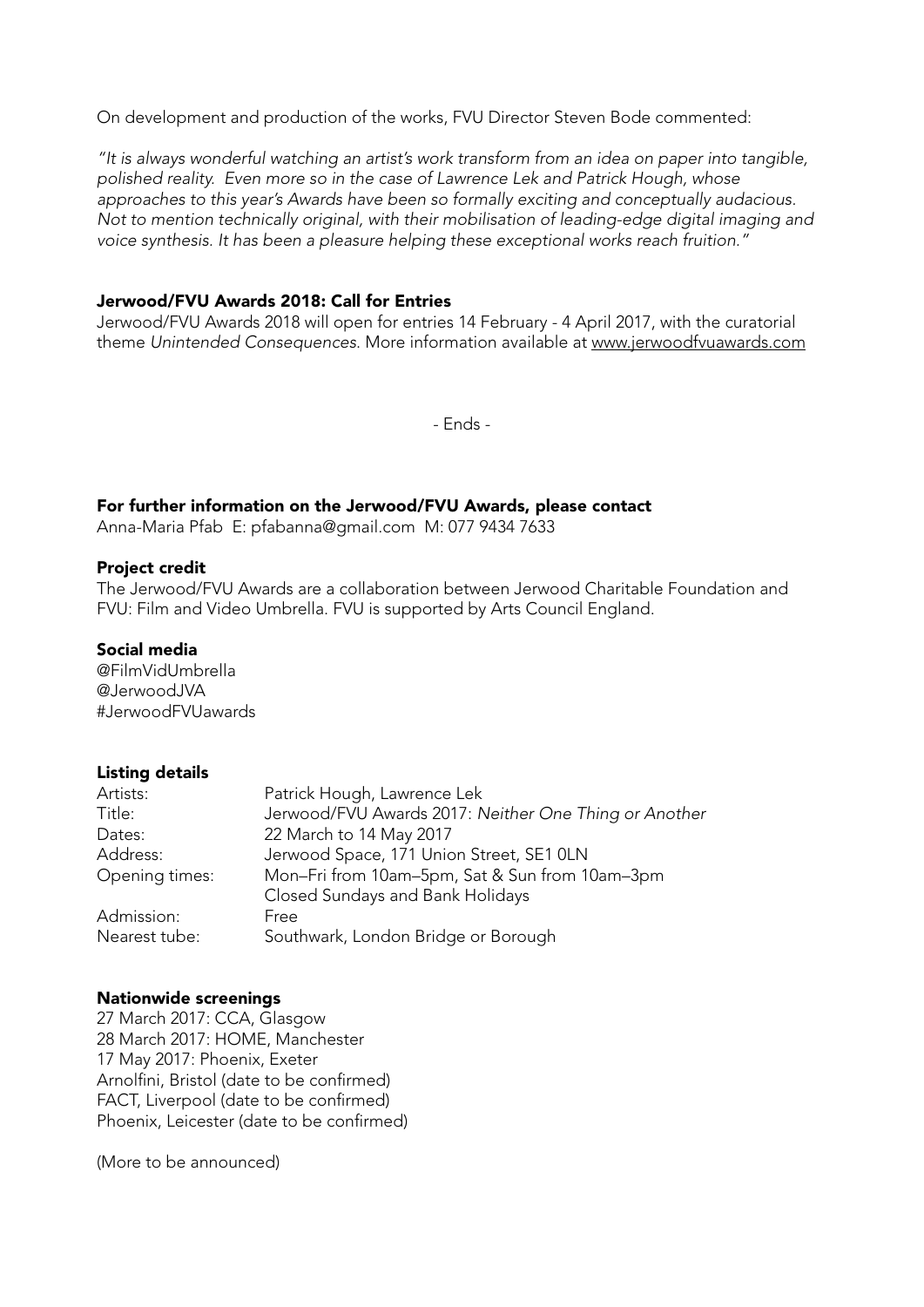On development and production of the works, FVU Director Steven Bode commented:

*"It is always wonderful watching an artist's work transform from an idea on paper into tangible, polished reality. Even more so in the case of Lawrence Lek and Patrick Hough, whose approaches to this year's Awards have been so formally exciting and conceptually audacious. Not to mention technically original, with their mobilisation of leading-edge digital imaging and voice synthesis. It has been a pleasure helping these exceptional works reach fruition."* 

### Jerwood/FVU Awards 2018: Call for Entries

Jerwood/FVU Awards 2018 will open for entries 14 February - 4 April 2017, with the curatorial theme *Unintended Consequences*. More information available at [www.jerwoodfvuawards.com](http://www.JerwoodFVUawards.com)

- Ends -

#### For further information on the Jerwood/FVU Awards, please contact

Anna-Maria Pfab E: pfabanna@gmail.com M: 077 9434 7633

#### Project credit

The Jerwood/FVU Awards are a collaboration between Jerwood Charitable Foundation and FVU: Film and Video Umbrella. FVU is supported by Arts Council England.

#### Social media

[@FilmVidUmbrella](https://twitter.com/FilmVidUmbrella) [@JerwoodJVA](https://twitter.com/JerwoodJVA) #JerwoodFVUawards

#### Listing details

| Artists:       | Patrick Hough, Lawrence Lek                                                        |
|----------------|------------------------------------------------------------------------------------|
| Title:         | Jerwood/FVU Awards 2017: Neither One Thing or Another                              |
| Dates:         | 22 March to 14 May 2017                                                            |
| Address:       | Jerwood Space, 171 Union Street, SE1 0LN                                           |
| Opening times: | Mon-Fri from 10am-5pm, Sat & Sun from 10am-3pm<br>Closed Sundays and Bank Holidays |
| Admission:     | Free                                                                               |
| Nearest tube:  | Southwark, London Bridge or Borough                                                |

#### Nationwide screenings

27 March 2017: CCA, Glasgow 28 March 2017: HOME, Manchester 17 May 2017: Phoenix, Exeter Arnolfini, Bristol (date to be confirmed) FACT, Liverpool (date to be confirmed) Phoenix, Leicester (date to be confirmed)

(More to be announced)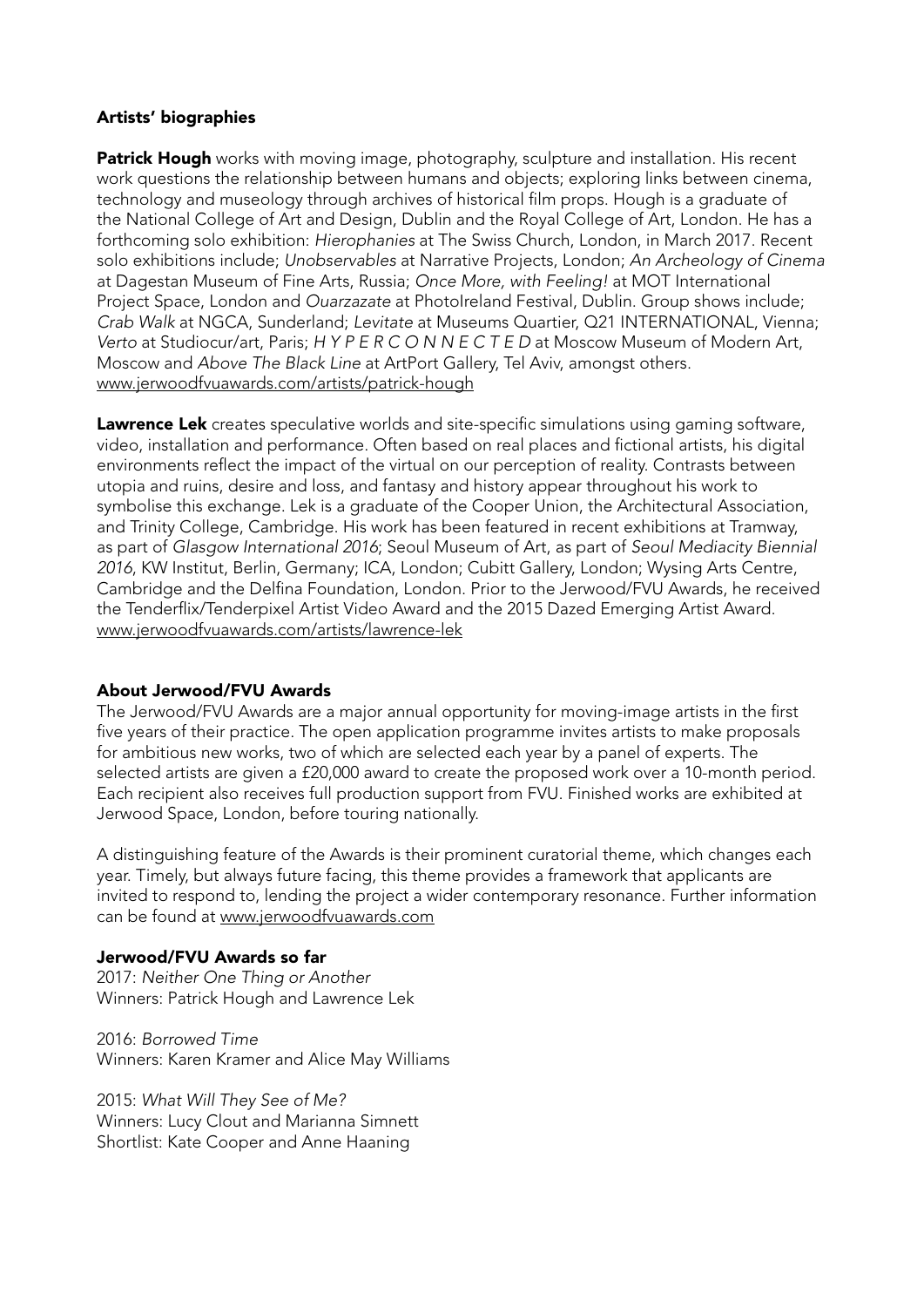## Artists' biographies

Patrick Hough works with moving image, photography, sculpture and installation. His recent work questions the relationship between humans and objects; exploring links between cinema, technology and museology through archives of historical film props. Hough is a graduate of the National College of Art and Design, Dublin and the Royal College of Art, London. He has a forthcoming solo exhibition: *Hierophanies* at The Swiss Church, London, in March 2017. Recent solo exhibitions include; *Unobservables* at Narrative Projects, London; *An Archeology of Cinema* at Dagestan Museum of Fine Arts, Russia; *Once More, with Feeling!* at MOT International Project Space, London and *Ouarzazate* at PhotoIreland Festival, Dublin. Group shows include; *Crab Walk* at NGCA, Sunderland; *Levitate* at Museums Quartier, Q21 INTERNATIONAL, Vienna; *Verto* at Studiocur/art, Paris; *H Y P E R C O N N E C T E D* at Moscow Museum of Modern Art, Moscow and *Above The Black Line* at ArtPort Gallery, Tel Aviv, amongst others. [www.jerwoodfvuawards.com/artists/patrick-hough](http://www.jerwoodfvuawards.com/artists/patrick-hough)

Lawrence Lek creates speculative worlds and site-specific simulations using gaming software, video, installation and performance. Often based on real places and fictional artists, his digital environments reflect the impact of the virtual on our perception of reality. Contrasts between utopia and ruins, desire and loss, and fantasy and history appear throughout his work to symbolise this exchange. Lek is a graduate of the Cooper Union, the Architectural Association, and Trinity College, Cambridge. His work has been featured in recent exhibitions at Tramway, as part of *Glasgow International 2016*; Seoul Museum of Art, as part of *Seoul Mediacity Biennial 2016*, KW Institut, Berlin, Germany; ICA, London; Cubitt Gallery, London; Wysing Arts Centre, Cambridge and the Delfina Foundation, London. Prior to the Jerwood/FVU Awards, he received the Tenderflix/Tenderpixel Artist Video Award and the 2015 Dazed Emerging Artist Award. [www.jerwoodfvuawards.com/artists/lawrence-lek](http://www.jerwoodfvuawards.com/artists/lawrence-lek)

## About Jerwood/FVU Awards

The Jerwood/FVU Awards are a major annual opportunity for moving-image artists in the first five years of their practice. The open application programme invites artists to make proposals for ambitious new works, two of which are selected each year by a panel of experts. The selected artists are given a £20,000 award to create the proposed work over a 10-month period. Each recipient also receives full production support from FVU. Finished works are exhibited at Jerwood Space, London, before touring nationally.

A distinguishing feature of the Awards is their prominent curatorial theme, which changes each year. Timely, but always future facing, this theme provides a framework that applicants are invited to respond to, lending the project a wider contemporary resonance. Further information can be found at [www.jerwoodfvuawards.com](http://www.jerwoodfvuawards.com)

## Jerwood/FVU Awards so far

2017: *Neither One Thing or Another* Winners: Patrick Hough and Lawrence Lek

2016: *Borrowed Time* Winners: Karen Kramer and Alice May Williams

2015: *What Will They See of Me?* Winners: Lucy Clout and Marianna Simnett Shortlist: Kate Cooper and Anne Haaning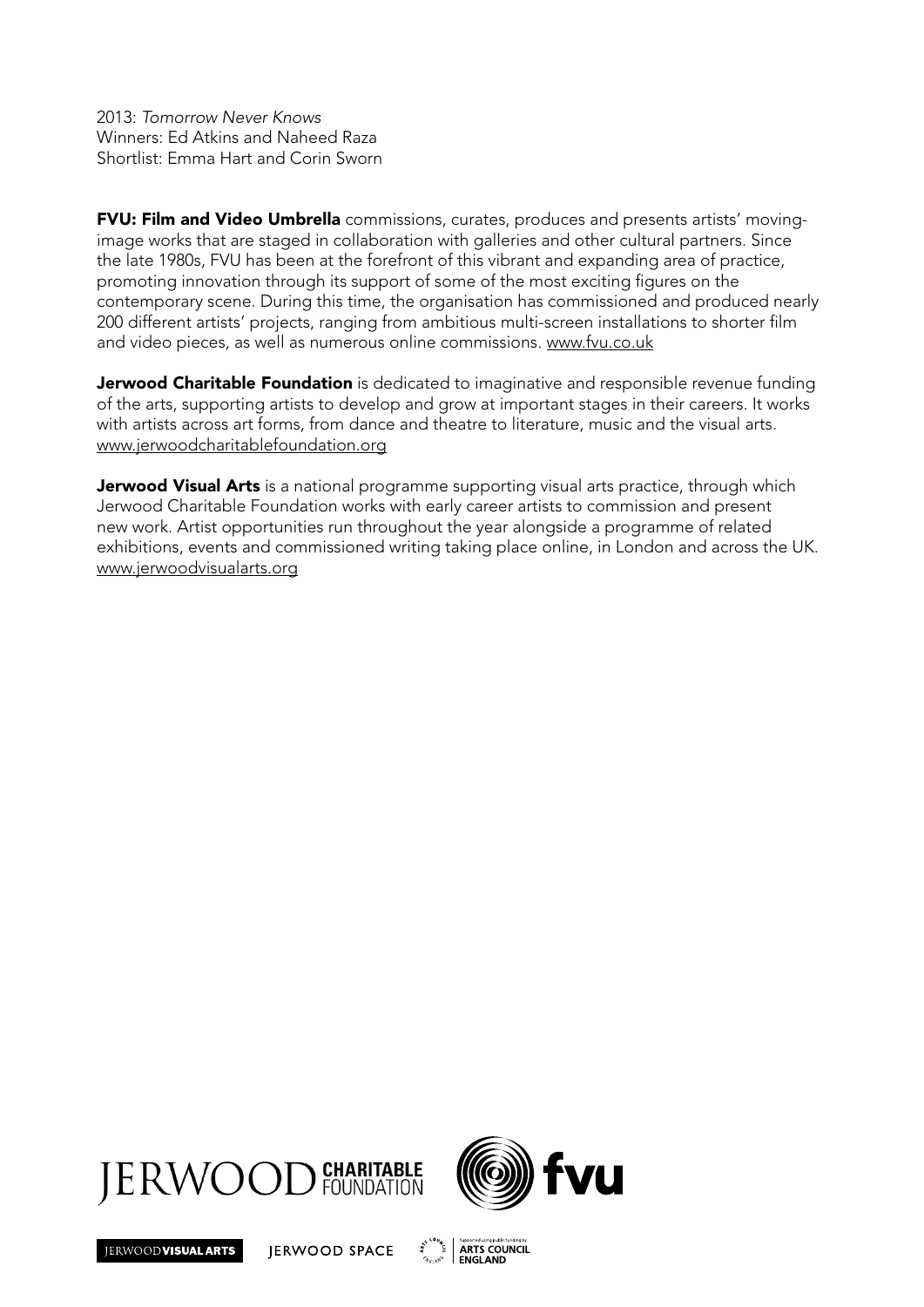2013: *Tomorrow Never Knows* Winners: Ed Atkins and Naheed Raza Shortlist: Emma Hart and Corin Sworn

FVU: Film and Video Umbrella commissions, curates, produces and presents artists' movingimage works that are staged in collaboration with galleries and other cultural partners. Since the late 1980s, FVU has been at the forefront of this vibrant and expanding area of practice, promoting innovation through its support of some of the most exciting figures on the contemporary scene. During this time, the organisation has commissioned and produced nearly 200 different artists' projects, ranging from ambitious multi-screen installations to shorter film and video pieces, as well as numerous online commissions. [www.fvu.co.uk](http://www.fvu.co.uk)

Jerwood Charitable Foundation is dedicated to imaginative and responsible revenue funding of the arts, supporting artists to develop and grow at important stages in their careers. It works with artists across art forms, from dance and theatre to literature, music and the visual arts. [www.jerwoodcharitablefoundation.org](http://www.jerwoodcharitablefoundation.org)

**Jerwood Visual Arts** is a national programme supporting visual arts practice, through which Jerwood Charitable Foundation works with early career artists to commission and present new work. Artist opportunities run throughout the year alongside a programme of related exhibitions, events and commissioned writing taking place online, in London and across the UK. [www.jerwoodvisualarts.org](http://www.jerwoodvisualarts.org)







**IERWOOD SPACE** 

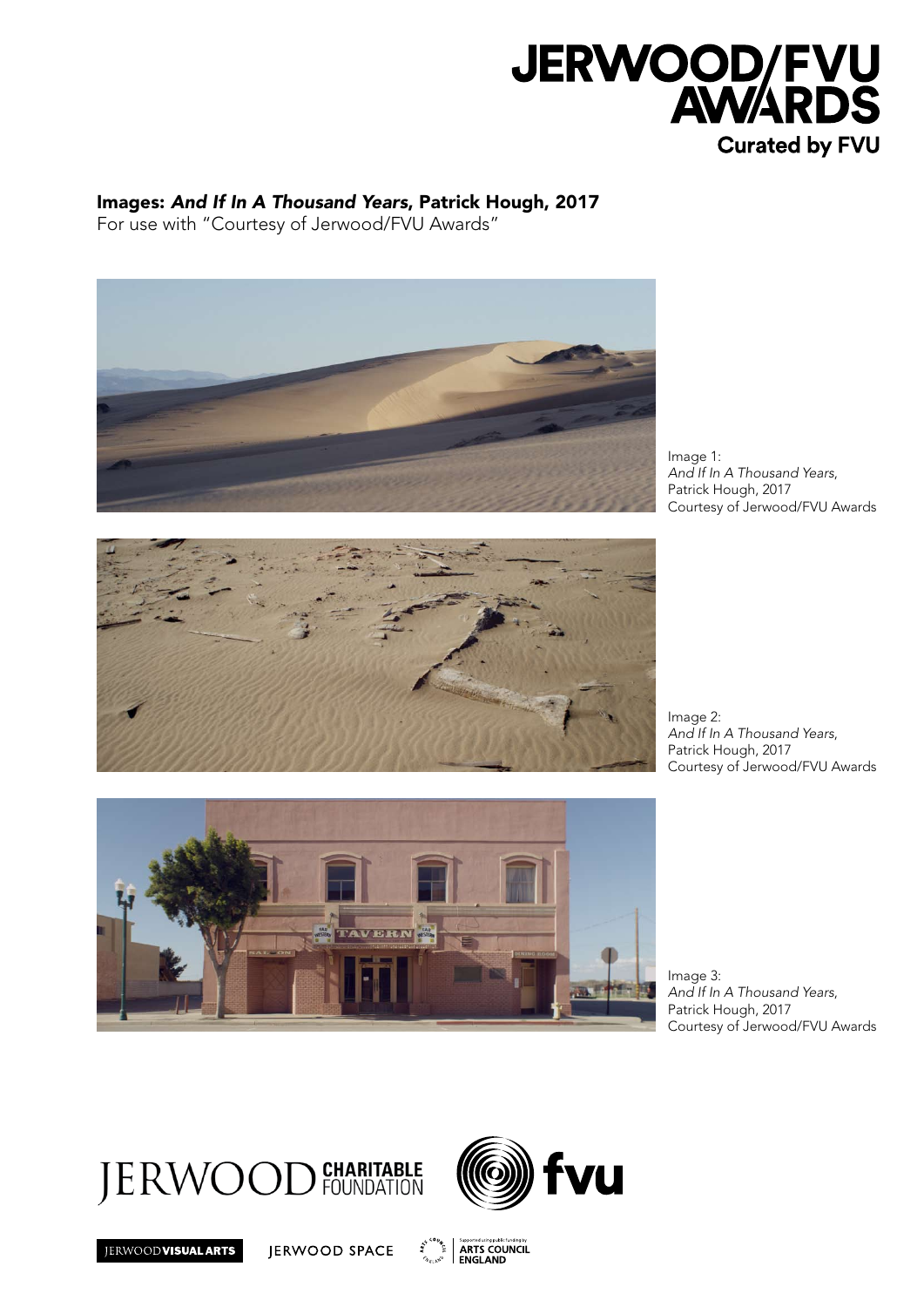

# Images: *And If In A Thousand Years*, Patrick Hough, 2017

For use with "Courtesy of Jerwood/FVU Awards"



Image 1: *And If In A Thousand Years*, Patrick Hough, 2017 Courtesy of Jerwood/FVU Awards



Image 2: *And If In A Thousand Years*, Patrick Hough, 2017 Courtesy of Jerwood/FVU Awards



Image 3: *And If In A Thousand Years*, Patrick Hough, 2017 Courtesy of Jerwood/FVU Awards







**IERWOOD SPACE**